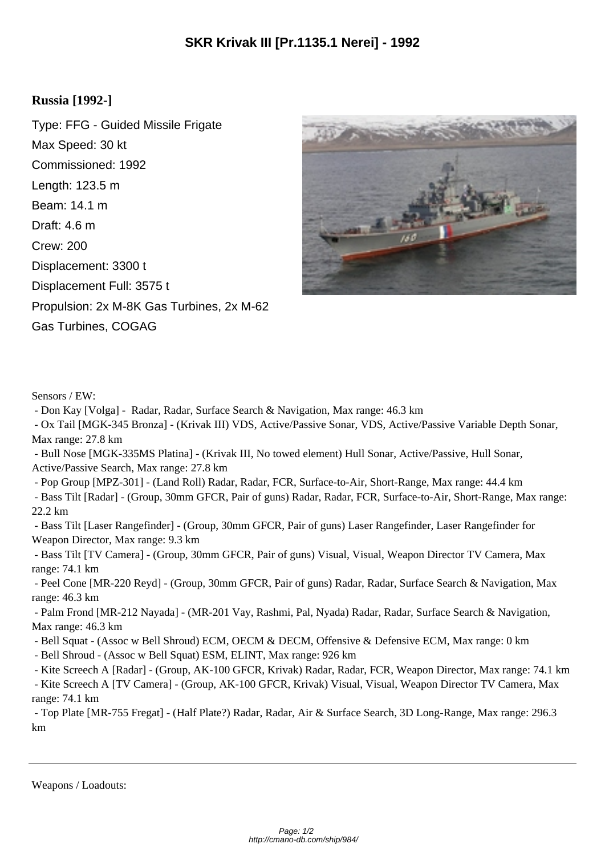## **Russia [1992-]**

Type: FFG - Guided Missile Frigate Max Speed: 30 kt Commissioned: 1992 Length: 123.5 m Beam: 14.1 m Draft: 4.6 m Crew: 200 Displacement: 3300 t Displacement Full: 3575 t Propulsion: 2x M-8K Gas Turbines, 2x M-62 Gas Turbines, COGAG



Sensors / EW:

- Don Kay [Volga] - Radar, Radar, Surface Search & Navigation, Max range: 46.3 km

 - Ox Tail [MGK-345 Bronza] - (Krivak III) VDS, Active/Passive Sonar, VDS, Active/Passive Variable Depth Sonar, Max range: 27.8 km

 - Bull Nose [MGK-335MS Platina] - (Krivak III, No towed element) Hull Sonar, Active/Passive, Hull Sonar, Active/Passive Search, Max range: 27.8 km

 - Pop Group [MPZ-301] - (Land Roll) Radar, Radar, FCR, Surface-to-Air, Short-Range, Max range: 44.4 km - Bass Tilt [Radar] - (Group, 30mm GFCR, Pair of guns) Radar, Radar, FCR, Surface-to-Air, Short-Range, Max range: 22.2 km

 - Bass Tilt [Laser Rangefinder] - (Group, 30mm GFCR, Pair of guns) Laser Rangefinder, Laser Rangefinder for Weapon Director, Max range: 9.3 km

 - Bass Tilt [TV Camera] - (Group, 30mm GFCR, Pair of guns) Visual, Visual, Weapon Director TV Camera, Max range: 74.1 km

 - Peel Cone [MR-220 Reyd] - (Group, 30mm GFCR, Pair of guns) Radar, Radar, Surface Search & Navigation, Max range: 46.3 km

 - Palm Frond [MR-212 Nayada] - (MR-201 Vay, Rashmi, Pal, Nyada) Radar, Radar, Surface Search & Navigation, Max range: 46.3 km

- Bell Squat - (Assoc w Bell Shroud) ECM, OECM & DECM, Offensive & Defensive ECM, Max range: 0 km

- Bell Shroud - (Assoc w Bell Squat) ESM, ELINT, Max range: 926 km

- Kite Screech A [Radar] - (Group, AK-100 GFCR, Krivak) Radar, Radar, FCR, Weapon Director, Max range: 74.1 km

 - Kite Screech A [TV Camera] - (Group, AK-100 GFCR, Krivak) Visual, Visual, Weapon Director TV Camera, Max range: 74.1 km

 - Top Plate [MR-755 Fregat] - (Half Plate?) Radar, Radar, Air & Surface Search, 3D Long-Range, Max range: 296.3 km

Weapons / Loadouts: